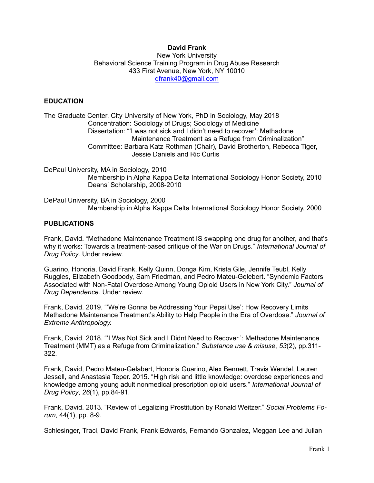# **David Frank**

New York University Behavioral Science Training Program in Drug Abuse Research 433 First Avenue, New York, NY 10010 [dfrank40@gmail.com](mailto:dfrank40@gmail.com)

## **EDUCATION**

The Graduate Center, City University of New York, PhD in Sociology, May 2018 Concentration: Sociology of Drugs; Sociology of Medicine Dissertation: "'I was not sick and I didn't need to recover': Methadone Maintenance Treatment as a Refuge from Criminalization" Committee: Barbara Katz Rothman (Chair), David Brotherton, Rebecca Tiger, Jessie Daniels and Ric Curtis

DePaul University, MA in Sociology, 2010 Membership in Alpha Kappa Delta International Sociology Honor Society, 2010 Deans' Scholarship, 2008-2010

DePaul University, BA in Sociology, 2000 Membership in Alpha Kappa Delta International Sociology Honor Society, 2000

#### **PUBLICATIONS**

Frank, David. "Methadone Maintenance Treatment IS swapping one drug for another, and that's why it works: Towards a treatment-based critique of the War on Drugs." *International Journal of Drug Policy*. Under review.

Guarino, Honoria, David Frank, Kelly Quinn, Donga Kim, Krista Gile, Jennife Teubl, Kelly Ruggles, Elizabeth Goodbody, Sam Friedman, and Pedro Mateu-Gelebert. "Syndemic Factors Associated with Non-Fatal Overdose Among Young Opioid Users in New York City." *Journal of Drug Dependence*. Under review.

Frank, David. 2019. "'We're Gonna be Addressing Your Pepsi Use': How Recovery Limits Methadone Maintenance Treatment's Ability to Help People in the Era of Overdose." *Journal of Extreme Anthropology.* 

Frank, David. 2018. "'I Was Not Sick and I Didnt Need to Recover ': Methadone Maintenance Treatment (MMT) as a Refuge from Criminalization." *Substance use & misuse*, *53*(2), pp.311- 322.

Frank, David, Pedro Mateu-Gelabert, Honoria Guarino, Alex Bennett, Travis Wendel, Lauren Jessell, and Anastasia Teper. 2015. "High risk and little knowledge: overdose experiences and knowledge among young adult nonmedical prescription opioid users." *International Journal of Drug Policy*, *26*(1), pp.84-91.

Frank, David. 2013. "Review of Legalizing Prostitution by Ronald Weitzer." *Social Problems Forum*, 44(1), pp. 8-9.

Schlesinger, Traci, David Frank, Frank Edwards, Fernando Gonzalez, Meggan Lee and Julian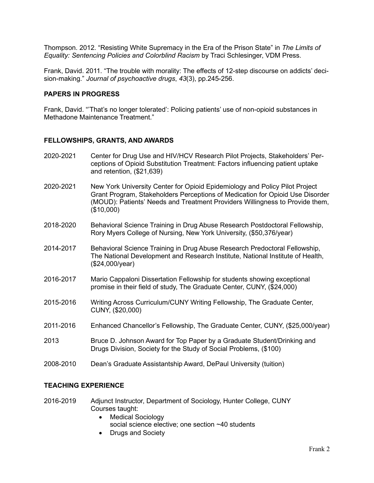Thompson. 2012. "Resisting White Supremacy in the Era of the Prison State" in *The Limits of Equality: Sentencing Policies and Colorblind Racism* by Traci Schlesinger, VDM Press.

Frank, David. 2011. "The trouble with morality: The effects of 12-step discourse on addicts' decision-making." *Journal of psychoactive drugs*, *43*(3), pp.245-256.

## **PAPERS IN PROGRESS**

Frank, David. "'That's no longer tolerated': Policing patients' use of non-opioid substances in Methadone Maintenance Treatment."

## **FELLOWSHIPS, GRANTS, AND AWARDS**

- 2020-2021 Center for Drug Use and HIV/HCV Research Pilot Projects, Stakeholders' Perceptions of Opioid Substitution Treatment: Factors influencing patient uptake and retention, (\$21,639)
- 2020-2021 New York University Center for Opioid Epidemiology and Policy Pilot Project Grant Program, Stakeholders Perceptions of Medication for Opioid Use Disorder (MOUD): Patients' Needs and Treatment Providers Willingness to Provide them, (\$10,000)
- 2018-2020 Behavioral Science Training in Drug Abuse Research Postdoctoral Fellowship, Rory Myers College of Nursing, New York University, (\$50,376/year)
- 2014-2017 Behavioral Science Training in Drug Abuse Research Predoctoral Fellowship, The National Development and Research Institute, National Institute of Health, (\$24,000/year)
- 2016-2017 Mario Cappaloni Dissertation Fellowship for students showing exceptional promise in their field of study, The Graduate Center, CUNY, (\$24,000)
- 2015-2016 Writing Across Curriculum/CUNY Writing Fellowship, The Graduate Center, CUNY, (\$20,000)
- 2011-2016 Enhanced Chancellor's Fellowship, The Graduate Center, CUNY, (\$25,000/year)
- 2013 Bruce D. Johnson Award for Top Paper by a Graduate Student/Drinking and Drugs Division, Society for the Study of Social Problems, (\$100)
- 2008-2010 Dean's Graduate Assistantship Award, DePaul University (tuition)

### **TEACHING EXPERIENCE**

- 2016-2019 Adjunct Instructor, Department of Sociology, Hunter College, CUNY Courses taught:
	- Medical Sociology social science elective; one section ~40 students
	- Drugs and Society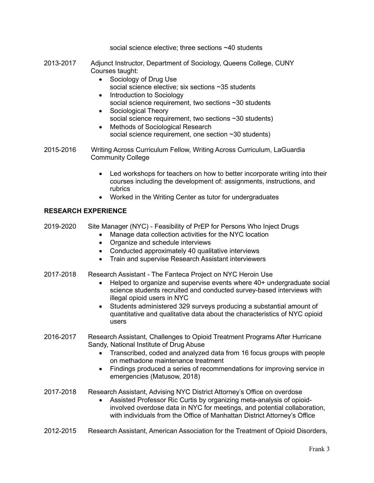social science elective; three sections ~40 students

- 2013-2017 Adjunct Instructor, Department of Sociology, Queens College, CUNY Courses taught:
	- Sociology of Drug Use social science elective; six sections ~35 students
	- Introduction to Sociology social science requirement, two sections ~30 students
	- Sociological Theory social science requirement, two sections ~30 students)
	- Methods of Sociological Research social science requirement, one section ~30 students)
- 2015-2016 Writing Across Curriculum Fellow, Writing Across Curriculum, LaGuardia Community College
	- Led workshops for teachers on how to better incorporate writing into their courses including the development of: assignments, instructions, and rubrics
	- Worked in the Writing Center as tutor for undergraduates

# **RESEARCH EXPERIENCE**

- 2019-2020 Site Manager (NYC) Feasibility of PrEP for Persons Who Inject Drugs
	- Manage data collection activities for the NYC location
	- Organize and schedule interviews
	- Conducted approximately 40 qualitative interviews
	- Train and supervise Research Assistant interviewers
- 2017-2018 Research Assistant The Fanteca Project on NYC Heroin Use
	- Helped to organize and supervise events where 40+ undergraduate social science students recruited and conducted survey-based interviews with illegal opioid users in NYC
	- Students administered 329 surveys producing a substantial amount of quantitative and qualitative data about the characteristics of NYC opioid users
- 2016-2017 Research Assistant, Challenges to Opioid Treatment Programs After Hurricane Sandy, National Institute of Drug Abuse
	- Transcribed, coded and analyzed data from 16 focus groups with people on methadone maintenance treatment
	- Findings produced a series of recommendations for improving service in emergencies (Matusow, 2018)
- 2017-2018 Research Assistant, Advising NYC District Attorney's Office on overdose
	- Assisted Professor Ric Curtis by organizing meta-analysis of opioidinvolved overdose data in NYC for meetings, and potential collaboration, with individuals from the Office of Manhattan District Attorney's Office
- 2012-2015 Research Assistant, American Association for the Treatment of Opioid Disorders,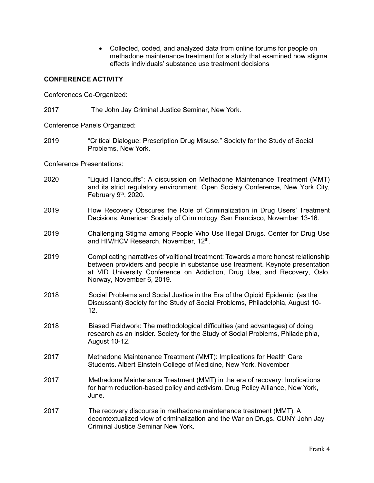• Collected, coded, and analyzed data from online forums for people on methadone maintenance treatment for a study that examined how stigma effects individuals' substance use treatment decisions

## **CONFERENCE ACTIVITY**

Conferences Co-Organized:

2017 The John Jay Criminal Justice Seminar, New York.

Conference Panels Organized:

2019 "Critical Dialogue: Prescription Drug Misuse." Society for the Study of Social Problems, New York.

Conference Presentations:

- 2020 "Liquid Handcuffs": A discussion on Methadone Maintenance Treatment (MMT) and its strict regulatory environment, Open Society Conference, New York City, February  $9<sup>th</sup>$ , 2020.
- 2019 How Recovery Obscures the Role of Criminalization in Drug Users' Treatment Decisions. American Society of Criminology, San Francisco, November 13-16.
- 2019 Challenging Stigma among People Who Use Illegal Drugs. Center for Drug Use and HIV/HCV Research. November, 12<sup>th</sup>.
- 2019 Complicating narratives of volitional treatment: Towards a more honest relationship between providers and people in substance use treatment. Keynote presentation at VID University Conference on Addiction, Drug Use, and Recovery, Oslo, Norway, November 6, 2019.
- 2018 Social Problems and Social Justice in the Era of the Opioid Epidemic. (as the Discussant) Society for the Study of Social Problems, Philadelphia, August 10- 12.
- 2018 Biased Fieldwork: The methodological difficulties (and advantages) of doing research as an insider. Society for the Study of Social Problems, Philadelphia, August 10-12.
- 2017 Methadone Maintenance Treatment (MMT): Implications for Health Care Students. Albert Einstein College of Medicine, New York, November
- 2017 Methadone Maintenance Treatment (MMT) in the era of recovery: Implications for harm reduction-based policy and activism. Drug Policy Alliance, New York, June.
- 2017 The recovery discourse in methadone maintenance treatment (MMT): A decontextualized view of criminalization and the War on Drugs. CUNY John Jay Criminal Justice Seminar New York.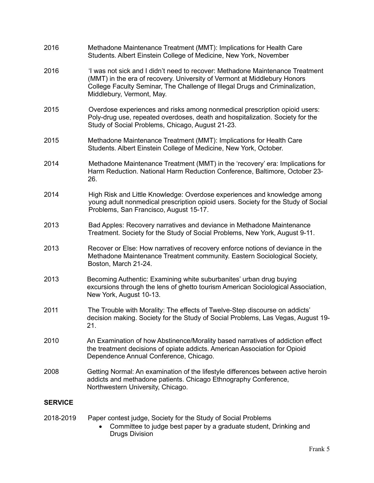| 2016           | Methadone Maintenance Treatment (MMT): Implications for Health Care<br>Students. Albert Einstein College of Medicine, New York, November                                                                                                                               |
|----------------|------------------------------------------------------------------------------------------------------------------------------------------------------------------------------------------------------------------------------------------------------------------------|
| 2016           | 'I was not sick and I didn't need to recover: Methadone Maintenance Treatment<br>(MMT) in the era of recovery. University of Vermont at Middlebury Honors<br>College Faculty Seminar, The Challenge of Illegal Drugs and Criminalization,<br>Middlebury, Vermont, May. |
| 2015           | Overdose experiences and risks among nonmedical prescription opioid users:<br>Poly-drug use, repeated overdoses, death and hospitalization. Society for the<br>Study of Social Problems, Chicago, August 21-23.                                                        |
| 2015           | Methadone Maintenance Treatment (MMT): Implications for Health Care<br>Students. Albert Einstein College of Medicine, New York, October.                                                                                                                               |
| 2014           | Methadone Maintenance Treatment (MMT) in the 'recovery' era: Implications for<br>Harm Reduction. National Harm Reduction Conference, Baltimore, October 23-<br>26.                                                                                                     |
| 2014           | High Risk and Little Knowledge: Overdose experiences and knowledge among<br>young adult nonmedical prescription opioid users. Society for the Study of Social<br>Problems, San Francisco, August 15-17.                                                                |
| 2013           | Bad Apples: Recovery narratives and deviance in Methadone Maintenance<br>Treatment. Society for the Study of Social Problems, New York, August 9-11.                                                                                                                   |
| 2013           | Recover or Else: How narratives of recovery enforce notions of deviance in the<br>Methadone Maintenance Treatment community. Eastern Sociological Society,<br>Boston, March 21-24.                                                                                     |
| 2013           | Becoming Authentic: Examining white suburbanites' urban drug buying<br>excursions through the lens of ghetto tourism American Sociological Association,<br>New York, August 10-13.                                                                                     |
| 2011           | The Trouble with Morality: The effects of Twelve-Step discourse on addicts'<br>decision making. Society for the Study of Social Problems, Las Vegas, August 19-<br>21.                                                                                                 |
| 2010           | An Examination of how Abstinence/Morality based narratives of addiction effect<br>the treatment decisions of opiate addicts. American Association for Opioid<br>Dependence Annual Conference, Chicago.                                                                 |
| 2008           | Getting Normal: An examination of the lifestyle differences between active heroin<br>addicts and methadone patients. Chicago Ethnography Conference,<br>Northwestern University, Chicago.                                                                              |
| <b>SERVICE</b> |                                                                                                                                                                                                                                                                        |
| 2018-2019      | Paper contest judge, Society for the Study of Social Problems<br>Committee to judge best paper by a graduate student. Drinking and                                                                                                                                     |

• Committee to judge best paper by a graduate student, Drinking and Drugs Division